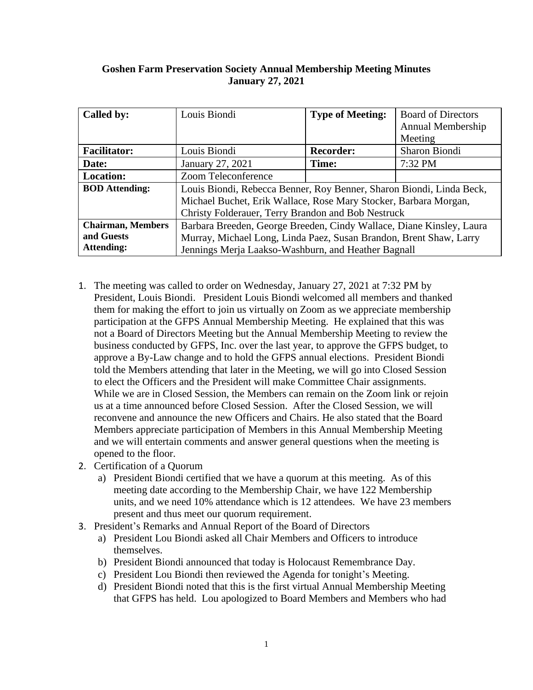## **Goshen Farm Preservation Society Annual Membership Meeting Minutes January 27, 2021**

| Called by:               | Louis Biondi                                                         | <b>Type of Meeting:</b> | <b>Board of Directors</b> |
|--------------------------|----------------------------------------------------------------------|-------------------------|---------------------------|
|                          |                                                                      |                         | Annual Membership         |
|                          |                                                                      |                         | Meeting                   |
| <b>Facilitator:</b>      | Louis Biondi                                                         | <b>Recorder:</b>        | Sharon Biondi             |
| Date:                    | January 27, 2021                                                     | Time:                   | 7:32 PM                   |
| <b>Location:</b>         | Zoom Teleconference                                                  |                         |                           |
| <b>BOD</b> Attending:    | Louis Biondi, Rebecca Benner, Roy Benner, Sharon Biondi, Linda Beck, |                         |                           |
|                          | Michael Buchet, Erik Wallace, Rose Mary Stocker, Barbara Morgan,     |                         |                           |
|                          | Christy Folderauer, Terry Brandon and Bob Nestruck                   |                         |                           |
| <b>Chairman, Members</b> | Barbara Breeden, George Breeden, Cindy Wallace, Diane Kinsley, Laura |                         |                           |
| and Guests               | Murray, Michael Long, Linda Paez, Susan Brandon, Brent Shaw, Larry   |                         |                           |
| <b>Attending:</b>        | Jennings Merja Laakso-Washburn, and Heather Bagnall                  |                         |                           |

- 1. The meeting was called to order on Wednesday, January 27, 2021 at 7:32 PM by President, Louis Biondi. President Louis Biondi welcomed all members and thanked them for making the effort to join us virtually on Zoom as we appreciate membership participation at the GFPS Annual Membership Meeting. He explained that this was not a Board of Directors Meeting but the Annual Membership Meeting to review the business conducted by GFPS, Inc. over the last year, to approve the GFPS budget, to approve a By-Law change and to hold the GFPS annual elections. President Biondi told the Members attending that later in the Meeting, we will go into Closed Session to elect the Officers and the President will make Committee Chair assignments. While we are in Closed Session, the Members can remain on the Zoom link or rejoin us at a time announced before Closed Session. After the Closed Session, we will reconvene and announce the new Officers and Chairs. He also stated that the Board Members appreciate participation of Members in this Annual Membership Meeting and we will entertain comments and answer general questions when the meeting is opened to the floor.
- 2. Certification of a Quorum
	- a) President Biondi certified that we have a quorum at this meeting. As of this meeting date according to the Membership Chair, we have 122 Membership units, and we need 10% attendance which is 12 attendees. We have 23 members present and thus meet our quorum requirement.
- 3. President's Remarks and Annual Report of the Board of Directors
	- a) President Lou Biondi asked all Chair Members and Officers to introduce themselves.
	- b) President Biondi announced that today is Holocaust Remembrance Day.
	- c) President Lou Biondi then reviewed the Agenda for tonight's Meeting.
	- d) President Biondi noted that this is the first virtual Annual Membership Meeting that GFPS has held. Lou apologized to Board Members and Members who had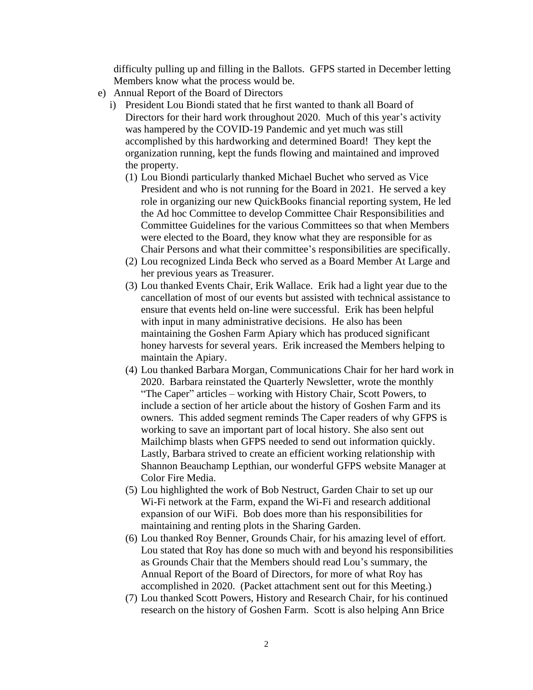difficulty pulling up and filling in the Ballots. GFPS started in December letting Members know what the process would be.

- e) Annual Report of the Board of Directors
	- i) President Lou Biondi stated that he first wanted to thank all Board of Directors for their hard work throughout 2020. Much of this year's activity was hampered by the COVID-19 Pandemic and yet much was still accomplished by this hardworking and determined Board! They kept the organization running, kept the funds flowing and maintained and improved the property.
		- (1) Lou Biondi particularly thanked Michael Buchet who served as Vice President and who is not running for the Board in 2021. He served a key role in organizing our new QuickBooks financial reporting system, He led the Ad hoc Committee to develop Committee Chair Responsibilities and Committee Guidelines for the various Committees so that when Members were elected to the Board, they know what they are responsible for as Chair Persons and what their committee's responsibilities are specifically.
		- (2) Lou recognized Linda Beck who served as a Board Member At Large and her previous years as Treasurer.
		- (3) Lou thanked Events Chair, Erik Wallace. Erik had a light year due to the cancellation of most of our events but assisted with technical assistance to ensure that events held on-line were successful. Erik has been helpful with input in many administrative decisions. He also has been maintaining the Goshen Farm Apiary which has produced significant honey harvests for several years. Erik increased the Members helping to maintain the Apiary.
		- (4) Lou thanked Barbara Morgan, Communications Chair for her hard work in 2020. Barbara reinstated the Quarterly Newsletter, wrote the monthly "The Caper" articles – working with History Chair, Scott Powers, to include a section of her article about the history of Goshen Farm and its owners. This added segment reminds The Caper readers of why GFPS is working to save an important part of local history. She also sent out Mailchimp blasts when GFPS needed to send out information quickly. Lastly, Barbara strived to create an efficient working relationship with Shannon Beauchamp Lepthian, our wonderful GFPS website Manager at Color Fire Media.
		- (5) Lou highlighted the work of Bob Nestruct, Garden Chair to set up our Wi-Fi network at the Farm, expand the Wi-Fi and research additional expansion of our WiFi. Bob does more than his responsibilities for maintaining and renting plots in the Sharing Garden.
		- (6) Lou thanked Roy Benner, Grounds Chair, for his amazing level of effort. Lou stated that Roy has done so much with and beyond his responsibilities as Grounds Chair that the Members should read Lou's summary, the Annual Report of the Board of Directors, for more of what Roy has accomplished in 2020. (Packet attachment sent out for this Meeting.)
		- (7) Lou thanked Scott Powers, History and Research Chair, for his continued research on the history of Goshen Farm. Scott is also helping Ann Brice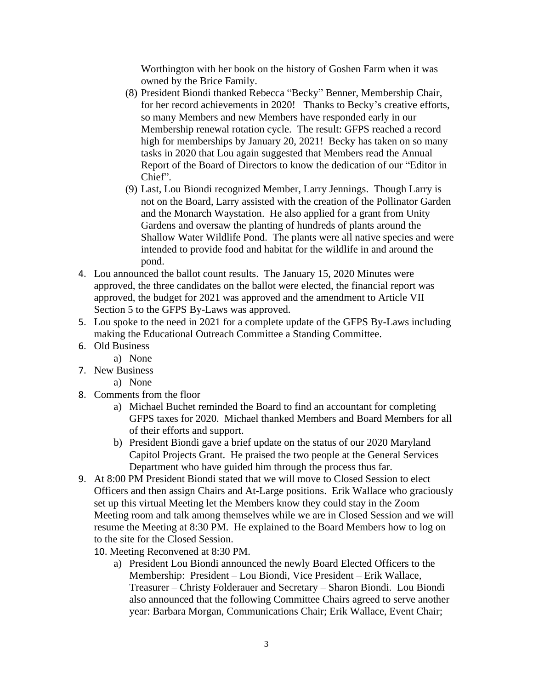Worthington with her book on the history of Goshen Farm when it was owned by the Brice Family.

- (8) President Biondi thanked Rebecca "Becky" Benner, Membership Chair, for her record achievements in 2020! Thanks to Becky's creative efforts, so many Members and new Members have responded early in our Membership renewal rotation cycle. The result: GFPS reached a record high for memberships by January 20, 2021! Becky has taken on so many tasks in 2020 that Lou again suggested that Members read the Annual Report of the Board of Directors to know the dedication of our "Editor in Chief".
- (9) Last, Lou Biondi recognized Member, Larry Jennings. Though Larry is not on the Board, Larry assisted with the creation of the Pollinator Garden and the Monarch Waystation. He also applied for a grant from Unity Gardens and oversaw the planting of hundreds of plants around the Shallow Water Wildlife Pond. The plants were all native species and were intended to provide food and habitat for the wildlife in and around the pond.
- 4. Lou announced the ballot count results. The January 15, 2020 Minutes were approved, the three candidates on the ballot were elected, the financial report was approved, the budget for 2021 was approved and the amendment to Article VII Section 5 to the GFPS By-Laws was approved.
- 5. Lou spoke to the need in 2021 for a complete update of the GFPS By-Laws including making the Educational Outreach Committee a Standing Committee.
- 6. Old Business
	- a) None
- 7. New Business
	- a) None
- 8. Comments from the floor
	- a) Michael Buchet reminded the Board to find an accountant for completing GFPS taxes for 2020. Michael thanked Members and Board Members for all of their efforts and support.
	- b) President Biondi gave a brief update on the status of our 2020 Maryland Capitol Projects Grant. He praised the two people at the General Services Department who have guided him through the process thus far.
- 9. At 8:00 PM President Biondi stated that we will move to Closed Session to elect Officers and then assign Chairs and At-Large positions. Erik Wallace who graciously set up this virtual Meeting let the Members know they could stay in the Zoom Meeting room and talk among themselves while we are in Closed Session and we will resume the Meeting at 8:30 PM. He explained to the Board Members how to log on to the site for the Closed Session.
	- 10. Meeting Reconvened at 8:30 PM.
		- a) President Lou Biondi announced the newly Board Elected Officers to the Membership: President – Lou Biondi, Vice President – Erik Wallace, Treasurer – Christy Folderauer and Secretary – Sharon Biondi. Lou Biondi also announced that the following Committee Chairs agreed to serve another year: Barbara Morgan, Communications Chair; Erik Wallace, Event Chair;